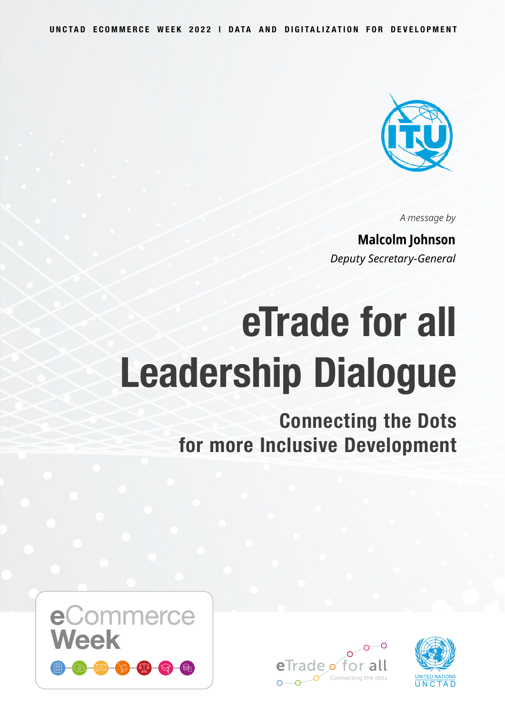

*A message by*

#### **Malcolm Johnson**

*Deputy Secretary-General*

# **eTrade for all Leadership Dialogue**

**Connecting the Dots for more Inclusive Development**





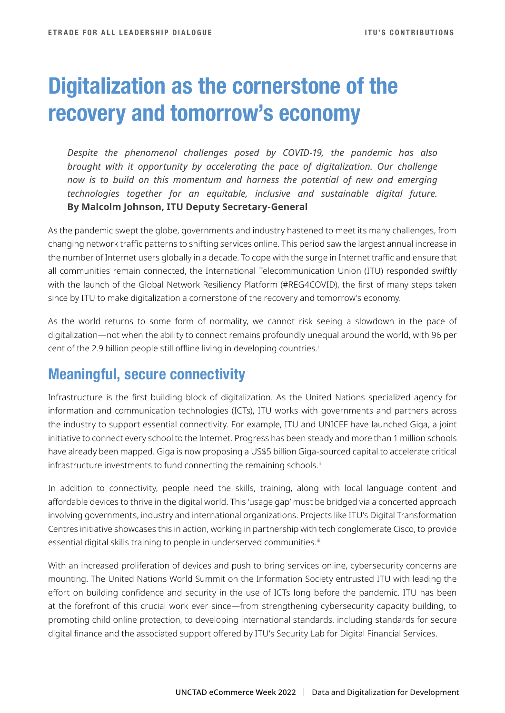# **Digitalization as the cornerstone of the recovery and tomorrow's economy**

*Despite the phenomenal challenges posed by COVID-19, the pandemic has also brought with it opportunity by accelerating the pace of digitalization. Our challenge now is to build on this momentum and harness the potential of new and emerging technologies together for an equitable, inclusive and sustainable digital future.*  **By Malcolm Johnson, ITU Deputy Secretary-General** 

As the pandemic swept the globe, governments and industry hastened to meet its many challenges, from changing network traffic patterns to shifting services online. This period saw the largest annual increase in the number of Internet users globally in a decade. To cope with the surge in Internet traffic and ensure that all communities remain connected, the International Telecommunication Union (ITU) responded swiftly with the launch of the Global Network Resiliency Platform (#REG4COVID), the first of many steps taken since by ITU to make digitalization a cornerstone of the recovery and tomorrow's economy.

As the world returns to some form of normality, we cannot risk seeing a slowdown in the pace of digitalization—not when the ability to connect remains profoundly unequal around the world, with 96 per cent of the 2.9 billion people still offline living in developing countries.<sup>i</sup>

## **Meaningful, secure connectivity**

Infrastructure is the first building block of digitalization. As the United Nations specialized agency for information and communication technologies (ICTs), ITU works with governments and partners across the industry to support essential connectivity. For example, ITU and UNICEF have launched Giga, a joint initiative to connect every school to the Internet. Progress has been steady and more than 1 million schools have already been mapped. Giga is now proposing a US\$5 billion Giga-sourced capital to accelerate critical infrastructure investments to fund connecting the remaining schools.<sup>ii</sup>

In addition to connectivity, people need the skills, training, along with local language content and affordable devices to thrive in the digital world. This 'usage gap' must be bridged via a concerted approach involving governments, industry and international organizations. Projects like ITU's Digital Transformation Centres initiative showcases this in action, working in partnership with tech conglomerate Cisco, to provide essential digital skills training to people in underserved communities.<sup>iii</sup>

With an increased proliferation of devices and push to bring services online, cybersecurity concerns are mounting. The United Nations World Summit on the Information Society entrusted ITU with leading the effort on building confidence and security in the use of ICTs long before the pandemic. ITU has been at the forefront of this crucial work ever since—from strengthening cybersecurity capacity building, to promoting child online protection, to developing international standards, including standards for secure digital finance and the associated support offered by ITU's Security Lab for Digital Financial Services.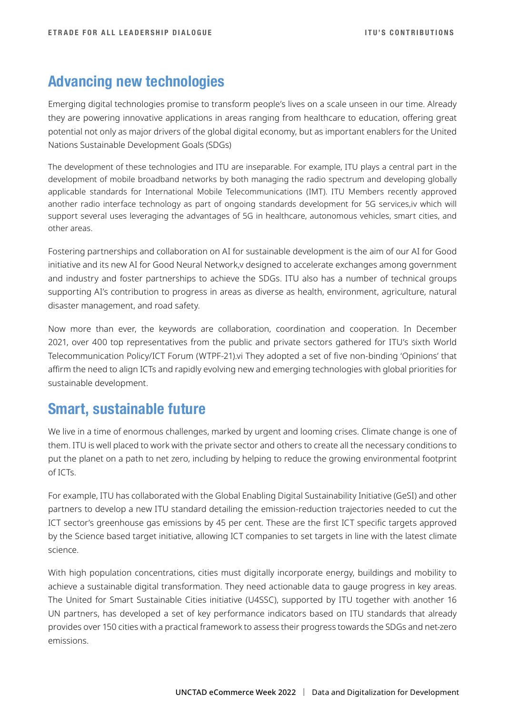### **Advancing new technologies**

Emerging digital technologies promise to transform people's lives on a scale unseen in our time. Already they are powering innovative applications in areas ranging from healthcare to education, offering great potential not only as major drivers of the global digital economy, but as important enablers for the United Nations Sustainable Development Goals (SDGs)

The development of these technologies and ITU are inseparable. For example, ITU plays a central part in the development of mobile broadband networks by both managing the radio spectrum and developing globally applicable standards for International Mobile Telecommunications (IMT). ITU Members recently approved another radio interface technology as part of ongoing standards development for 5G services,iv which will support several uses leveraging the advantages of 5G in healthcare, autonomous vehicles, smart cities, and other areas.

Fostering partnerships and collaboration on AI for sustainable development is the aim of our AI for Good initiative and its new AI for Good Neural Network,v designed to accelerate exchanges among government and industry and foster partnerships to achieve the SDGs. ITU also has a number of technical groups supporting AI's contribution to progress in areas as diverse as health, environment, agriculture, natural disaster management, and road safety.

Now more than ever, the keywords are collaboration, coordination and cooperation. In December 2021, over 400 top representatives from the public and private sectors gathered for ITU's sixth World Telecommunication Policy/ICT Forum (WTPF-21).vi They adopted a set of five non-binding 'Opinions' that affirm the need to align ICTs and rapidly evolving new and emerging technologies with global priorities for sustainable development.

#### **Smart, sustainable future**

We live in a time of enormous challenges, marked by urgent and looming crises. Climate change is one of them. ITU is well placed to work with the private sector and others to create all the necessary conditions to put the planet on a path to net zero, including by helping to reduce the growing environmental footprint of ICTs.

For example, ITU has collaborated with the Global Enabling Digital Sustainability Initiative (GeSI) and other partners to develop a new ITU standard detailing the emission-reduction trajectories needed to cut the ICT sector's greenhouse gas emissions by 45 per cent. These are the first ICT specific targets approved by the Science based target initiative, allowing ICT companies to set targets in line with the latest climate science.

With high population concentrations, cities must digitally incorporate energy, buildings and mobility to achieve a sustainable digital transformation. They need actionable data to gauge progress in key areas. The United for Smart Sustainable Cities initiative (U4SSC), supported by ITU together with another 16 UN partners, has developed a set of key performance indicators based on ITU standards that already provides over 150 cities with a practical framework to assess their progress towards the SDGs and net-zero emissions.